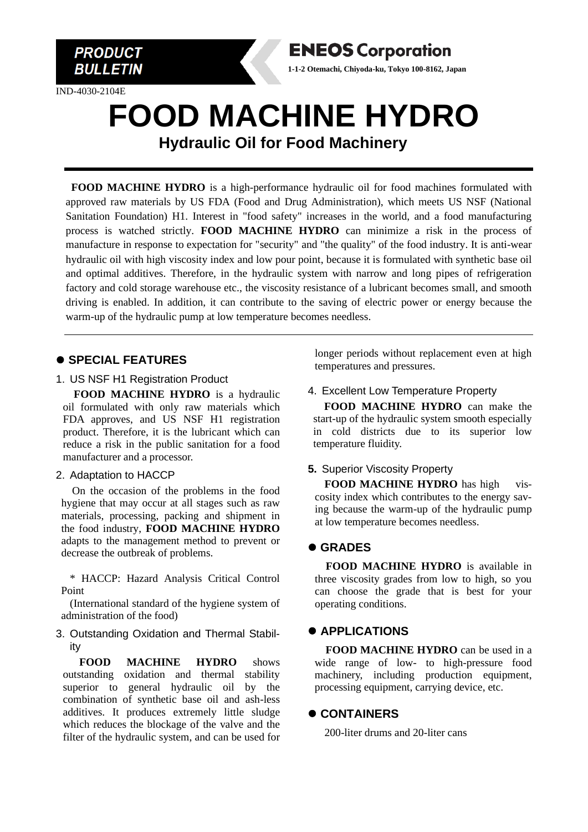

IND-4030-2104E



# **FOOD MACHINE HYDRO Hydraulic Oil for Food Machinery**

**FOOD MACHINE HYDRO** is a high-performance hydraulic oil for food machines formulated with approved raw materials by US FDA (Food and Drug Administration), which meets US NSF (National Sanitation Foundation) H1. Interest in "food safety" increases in the world, and a food manufacturing process is watched strictly. **FOOD MACHINE HYDRO** can minimize a risk in the process of manufacture in response to expectation for "security" and "the quality" of the food industry. It is anti-wear hydraulic oil with high viscosity index and low pour point, because it is formulated with synthetic base oil and optimal additives. Therefore, in the hydraulic system with narrow and long pipes of refrigeration factory and cold storage warehouse etc., the viscosity resistance of a lubricant becomes small, and smooth driving is enabled. In addition, it can contribute to the saving of electric power or energy because the warm-up of the hydraulic pump at low temperature becomes needless.

## ⚫ **SPECIAL FEATURES**

1. US NSF H1 Registration Product

**FOOD MACHINE HYDRO** is a hydraulic oil formulated with only raw materials which FDA approves, and US NSF H1 registration product. Therefore, it is the lubricant which can reduce a risk in the public sanitation for a food manufacturer and a processor.

#### 2. Adaptation to HACCP

On the occasion of the problems in the food hygiene that may occur at all stages such as raw materials, processing, packing and shipment in the food industry, **FOOD MACHINE HYDRO** adapts to the management method to prevent or decrease the outbreak of problems.

\* HACCP: Hazard Analysis Critical Control Point

(International standard of the hygiene system of administration of the food)

#### 3. Outstanding Oxidation and Thermal Stability

**FOOD MACHINE HYDRO** shows outstanding oxidation and thermal stability superior to general hydraulic oil by the combination of synthetic base oil and ash-less additives. It produces extremely little sludge which reduces the blockage of the valve and the filter of the hydraulic system, and can be used for longer periods without replacement even at high temperatures and pressures.

#### 4. Excellent Low Temperature Property

**FOOD MACHINE HYDRO** can make the start-up of the hydraulic system smooth especially in cold districts due to its superior low temperature fluidity.

#### **5.** Superior Viscosity Property

**FOOD MACHINE HYDRO** has high viscosity index which contributes to the energy saving because the warm-up of the hydraulic pump at low temperature becomes needless.

## ⚫ **GRADES**

**FOOD MACHINE HYDRO** is available in three viscosity grades from low to high, so you can choose the grade that is best for your operating conditions.

## ⚫ **APPLICATIONS**

**FOOD MACHINE HYDRO** can be used in a wide range of low- to high-pressure food machinery, including production equipment, processing equipment, carrying device, etc.

## ⚫ **CONTAINERS**

200-liter drums and 20-liter cans